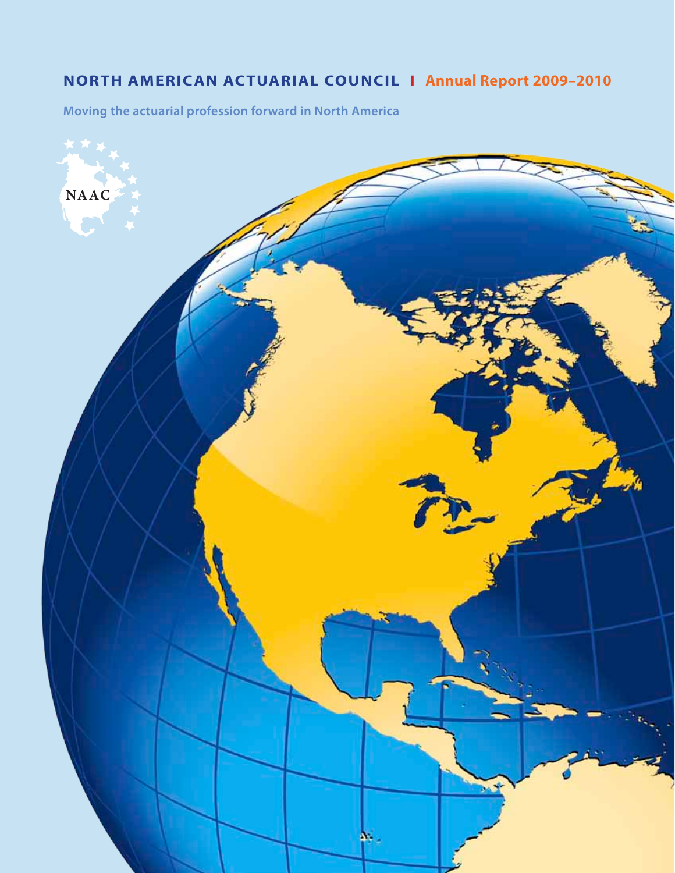# **North American Actuarial Council I Annual Report 2009–2010**

**Moving the actuarial profession forward in North America**

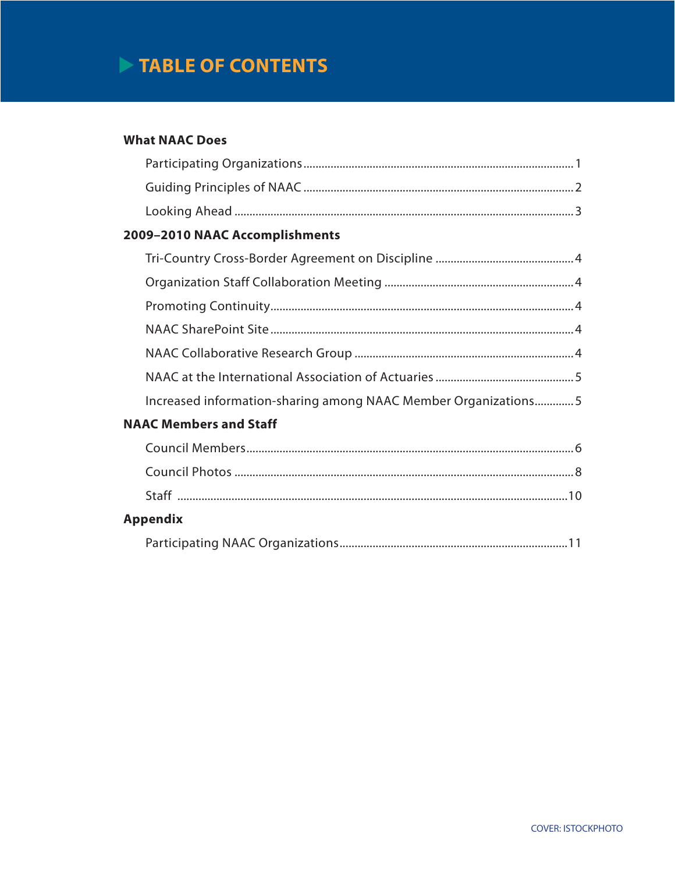# TABLE OF CONTENTS

## **What NAAC Does**

| 2009-2010 NAAC Accomplishments                                 |
|----------------------------------------------------------------|
|                                                                |
|                                                                |
|                                                                |
|                                                                |
|                                                                |
|                                                                |
| Increased information-sharing among NAAC Member Organizations5 |
| <b>NAAC Members and Staff</b>                                  |
|                                                                |
|                                                                |
|                                                                |
| <b>Appendix</b>                                                |
| . 11                                                           |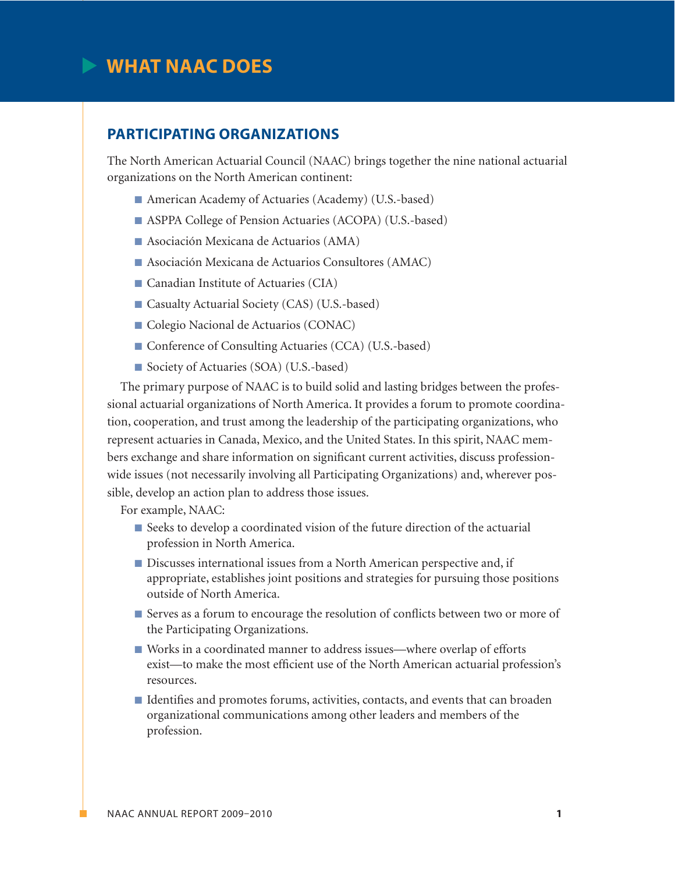# **What NAAC Does**

## **Participating Organizations**

The North American Actuarial Council (NAAC) brings together the nine national actuarial organizations on the North American continent:

- American Academy of Actuaries (Academy) (U.S.-based)
- ASPPA College of Pension Actuaries (ACOPA) (U.S.-based)
- $\blacksquare$  Asociación Mexicana de Actuarios (AMA)
- Asociación Mexicana de Actuarios Consultores (AMAC)
- $\blacksquare$  Canadian Institute of Actuaries (CIA)
- Casualty Actuarial Society (CAS) (U.S.-based)
- Colegio Nacional de Actuarios (CONAC)
- Conference of Consulting Actuaries (CCA) (U.S.-based)
- Society of Actuaries (SOA) (U.S.-based)

The primary purpose of NAAC is to build solid and lasting bridges between the professional actuarial organizations of North America. It provides a forum to promote coordination, cooperation, and trust among the leadership of the participating organizations, who represent actuaries in Canada, Mexico, and the United States. In this spirit, NAAC members exchange and share information on significant current activities, discuss professionwide issues (not necessarily involving all Participating Organizations) and, wherever possible, develop an action plan to address those issues.

For example, NAAC:

- Seeks to develop a coordinated vision of the future direction of the actuarial profession in North America.
- Discusses international issues from a North American perspective and, if appropriate, establishes joint positions and strategies for pursuing those positions outside of North America.
- n Serves as a forum to encourage the resolution of conflicts between two or more of the Participating Organizations.
- Works in a coordinated manner to address issues—where overlap of efforts exist—to make the most efficient use of the North American actuarial profession's resources.
- n Identifies and promotes forums, activities, contacts, and events that can broaden organizational communications among other leaders and members of the profession.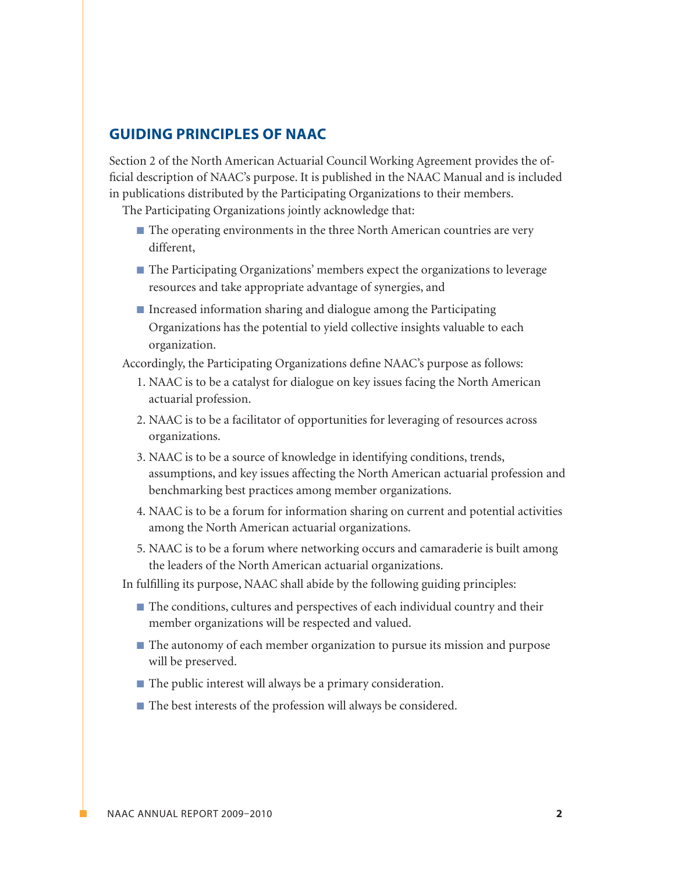## **Guiding Principles of NAAC**

Section 2 of the North American Actuarial Council Working Agreement provides the official description of NAAC's purpose. It is published in the NAAC Manual and is included in publications distributed by the Participating Organizations to their members.

The Participating Organizations jointly acknowledge that:

- $\blacksquare$  The operating environments in the three North American countries are very different,
- The Participating Organizations' members expect the organizations to leverage resources and take appropriate advantage of synergies, and
- $\blacksquare$  Increased information sharing and dialogue among the Participating Organizations has the potential to yield collective insights valuable to each organization.

Accordingly, the Participating Organizations define NAAC's purpose as follows:

- 1. NAAC is to be a catalyst for dialogue on key issues facing the North American actuarial profession.
- 2. NAAC is to be a facilitator of opportunities for leveraging of resources across organizations.
- 3. NAAC is to be a source of knowledge in identifying conditions, trends, assumptions, and key issues affecting the North American actuarial profession and benchmarking best practices among member organizations.
- 4. NAAC is to be a forum for information sharing on current and potential activities among the North American actuarial organizations.
- 5. NAAC is to be a forum where networking occurs and camaraderie is built among the leaders of the North American actuarial organizations.

In fulfilling its purpose, NAAC shall abide by the following guiding principles:

- n The conditions, cultures and perspectives of each individual country and their member organizations will be respected and valued.
- The autonomy of each member organization to pursue its mission and purpose will be preserved.
- $\blacksquare$  The public interest will always be a primary consideration.
- $\blacksquare$  The best interests of the profession will always be considered.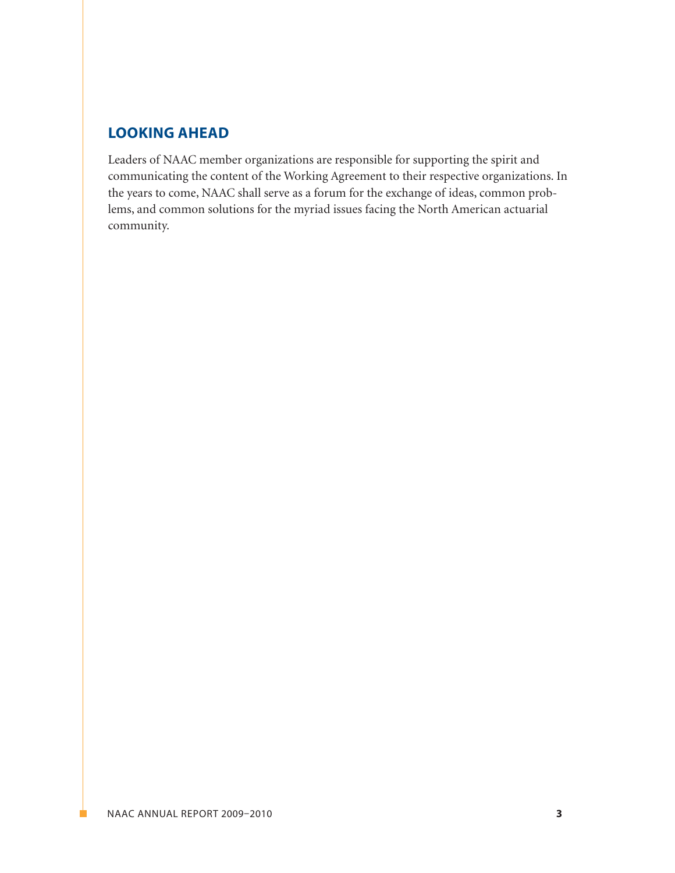# **Looking Ahead**

Leaders of NAAC member organizations are responsible for supporting the spirit and communicating the content of the Working Agreement to their respective organizations. In the years to come, NAAC shall serve as a forum for the exchange of ideas, common problems, and common solutions for the myriad issues facing the North American actuarial community.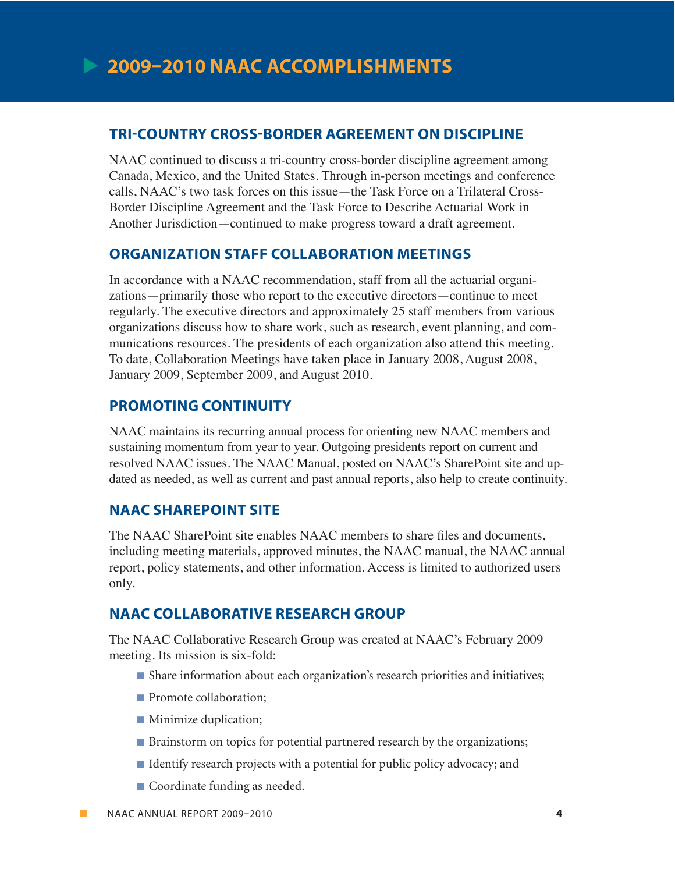# **Tri-Country Cross-Border Agreement on Discipline**

NAAC continued to discuss a tri-country cross-border discipline agreement among Canada, Mexico, and the United States. Through in-person meetings and conference calls, NAAC's two task forces on this issue—the Task Force on a Trilateral Cross-Border Discipline Agreement and the Task Force to Describe Actuarial Work in Another Jurisdiction—continued to make progress toward a draft agreement.

# **Organization Staff Collaboration Meetings**

In accordance with a NAAC recommendation, staff from all the actuarial organizations—primarily those who report to the executive directors—continue to meet regularly. The executive directors and approximately 25 staff members from various organizations discuss how to share work, such as research, event planning, and communications resources. The presidents of each organization also attend this meeting. To date, Collaboration Meetings have taken place in January 2008, August 2008, January 2009, September 2009, and August 2010.

# **Promoting Continuity**

NAAC maintains its recurring annual process for orienting new NAAC members and sustaining momentum from year to year. Outgoing presidents report on current and resolved NAAC issues. The NAAC Manual, posted on NAAC's SharePoint site and updated as needed, as well as current and past annual reports, also help to create continuity.

# **NAAC SharePoint Site**

The NAAC SharePoint site enables NAAC members to share files and documents, including meeting materials, approved minutes, the NAAC manual, the NAAC annual report, policy statements, and other information. Access is limited to authorized users only.

# **NAAC Collaborative Research Group**

The NAAC Collaborative Research Group was created at NAAC's February 2009 meeting. Its mission is six-fold:

- Share information about each organization's research priorities and initiatives;
- **n** Promote collaboration;
- **n** Minimize duplication;
- Brainstorm on topics for potential partnered research by the organizations;
- n Identify research projects with a potential for public policy advocacy; and
- Coordinate funding as needed.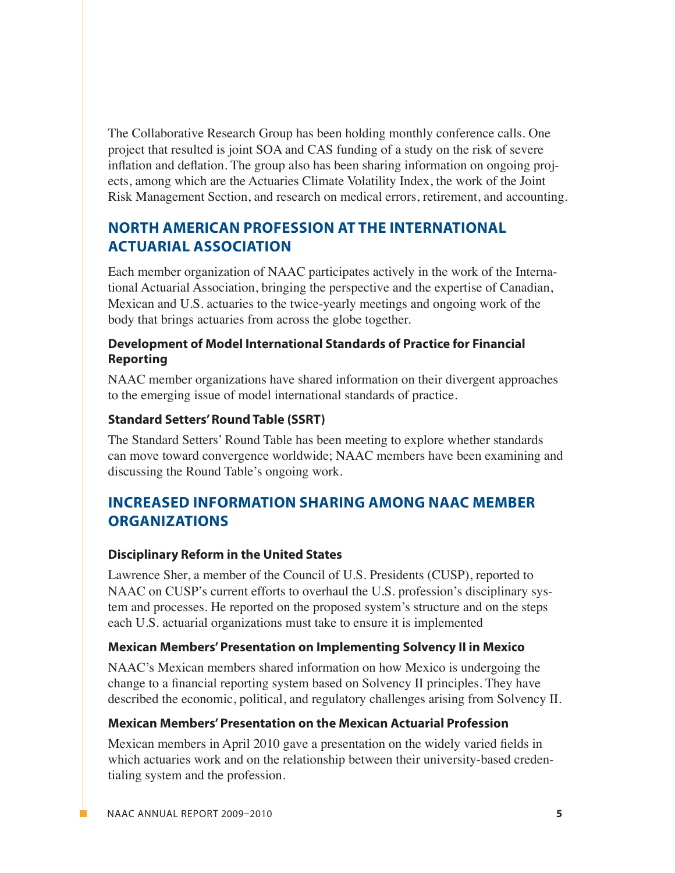The Collaborative Research Group has been holding monthly conference calls. One project that resulted is joint SOA and CAS funding of a study on the risk of severe inflation and deflation. The group also has been sharing information on ongoing projects, among which are the Actuaries Climate Volatility Index, the work of the Joint Risk Management Section, and research on medical errors, retirement, and accounting.

# **North American Profession at the International Actuarial Association**

Each member organization of NAAC participates actively in the work of the International Actuarial Association, bringing the perspective and the expertise of Canadian, Mexican and U.S. actuaries to the twice-yearly meetings and ongoing work of the body that brings actuaries from across the globe together.

### **Development of Model International Standards of Practice for Financial Reporting**

NAAC member organizations have shared information on their divergent approaches to the emerging issue of model international standards of practice.

### **Standard Setters' Round Table (SSRT)**

The Standard Setters' Round Table has been meeting to explore whether standards can move toward convergence worldwide; NAAC members have been examining and discussing the Round Table's ongoing work.

# **Increased Information Sharing among NAAC Member Organizations**

### **Disciplinary Reform in the United States**

Lawrence Sher, a member of the Council of U.S. Presidents (CUSP), reported to NAAC on CUSP's current efforts to overhaul the U.S. profession's disciplinary system and processes. He reported on the proposed system's structure and on the steps each U.S. actuarial organizations must take to ensure it is implemented

### **Mexican Members' Presentation on Implementing Solvency II in Mexico**

NAAC's Mexican members shared information on how Mexico is undergoing the change to a financial reporting system based on Solvency II principles. They have described the economic, political, and regulatory challenges arising from Solvency II.

# **Mexican Members' Presentation on the Mexican Actuarial Profession**

Mexican members in April 2010 gave a presentation on the widely varied fields in which actuaries work and on the relationship between their university-based credentialing system and the profession.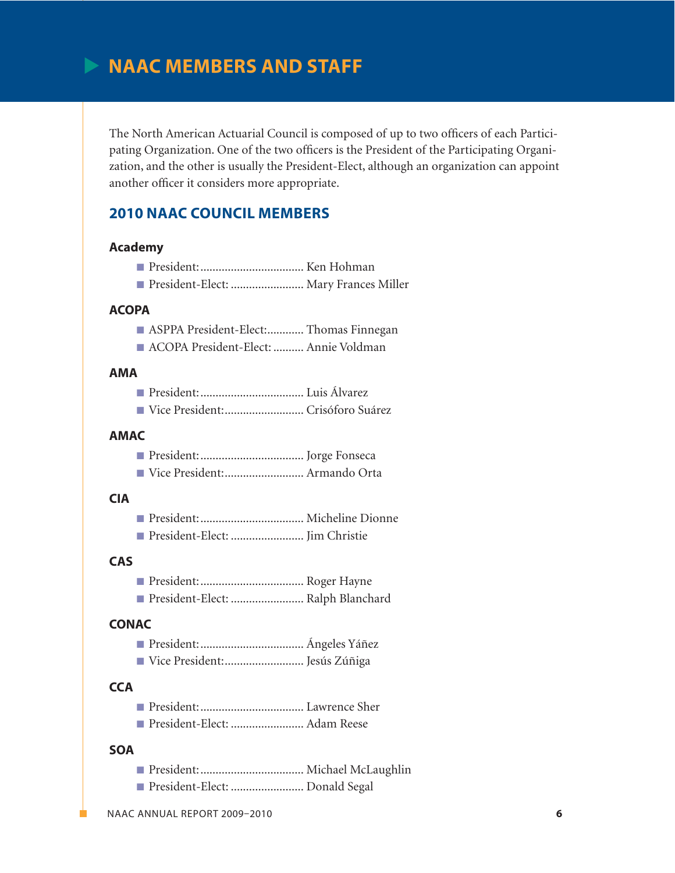# **NAAC Members and Staff**

The North American Actuarial Council is composed of up to two officers of each Participating Organization. One of the two officers is the President of the Participating Organization, and the other is usually the President-Elect, although an organization can appoint another officer it considers more appropriate.

# **2010 NAAC Council Members**

#### **Academy**

| President-Elect:  Mary Frances Miller |  |
|---------------------------------------|--|

#### **ACOPA**

- n ASPPA President-Elect:............ Thomas Finnegan
- n ACOPA President-Elect: .......... Annie Voldman

#### **AMA**

|--|--|

n Vice President:.......................... Crisóforo Suárez

#### **AMAC**

|--|--|--|

n Vice President:.......................... Armando Orta

#### **CIA**

n President-Elect: ........................ Jim Christie

#### **CAS**

- n President:.................................. Roger Hayne
- n President-Elect: ........................ Ralph Blanchard

#### **CONAC**

|--|--|

n Vice President:.......................... Jesús Zúñiga

#### **CCA**

|--|--|--|

n President-Elect: ........................ Adam Reese

#### **SOA**

- n President:.................................. Michael McLaughlin
- President-Elect: .......................... Donald Segal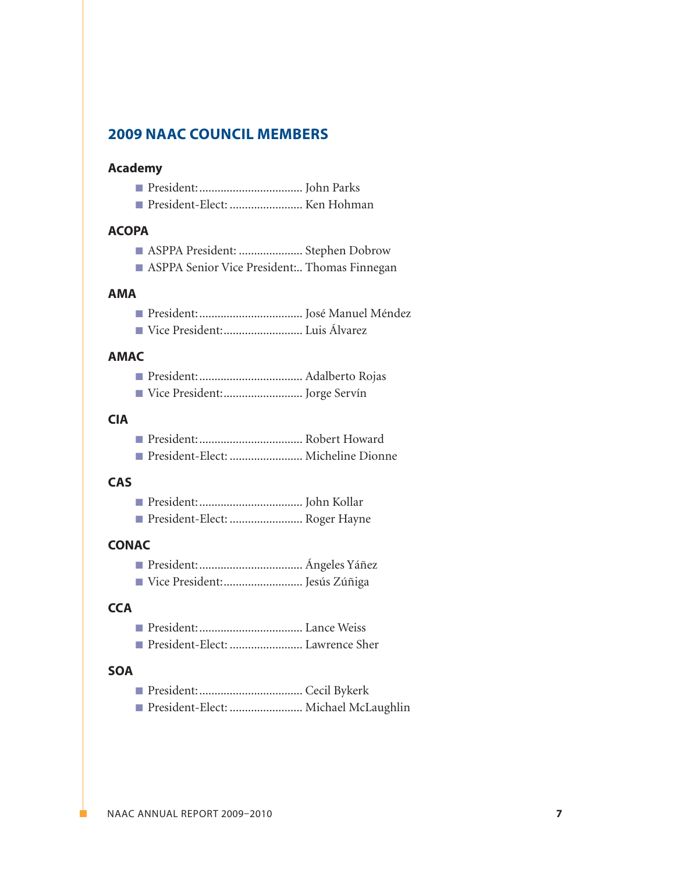# **2009 NAAC Council Members**

#### **Academy**

- n President:.................................. John Parks
- n President-Elect: ........................ Ken Hohman

#### **ACOPA**

- n ASPPA President: ..................... Stephen Dobrow
- **n** ASPPA Senior Vice President:.. Thomas Finnegan

#### **AMA**

- n President:.................................. José Manuel Méndez
- n Vice President:.......................... Luis Álvarez

#### **AMAC**

- n President:.................................. Adalberto Rojas
- Vice President:.................................. Jorge Servín

#### **CIA**

- n President:.................................. Robert Howard
- n President-Elect: ........................ Micheline Dionne

#### **CAS**

| President-Elect:  Roger Hayne |  |
|-------------------------------|--|

#### **CONAC**

- n President:.................................. Ángeles Yáñez
- n Vice President:.......................... Jesús Zúñiga

### **CCA**

|--|--|--|

n President-Elect: ........................ Lawrence Sher

#### **SOA**

- n President:.................................. Cecil Bykerk
- n President-Elect: ........................ Michael McLaughlin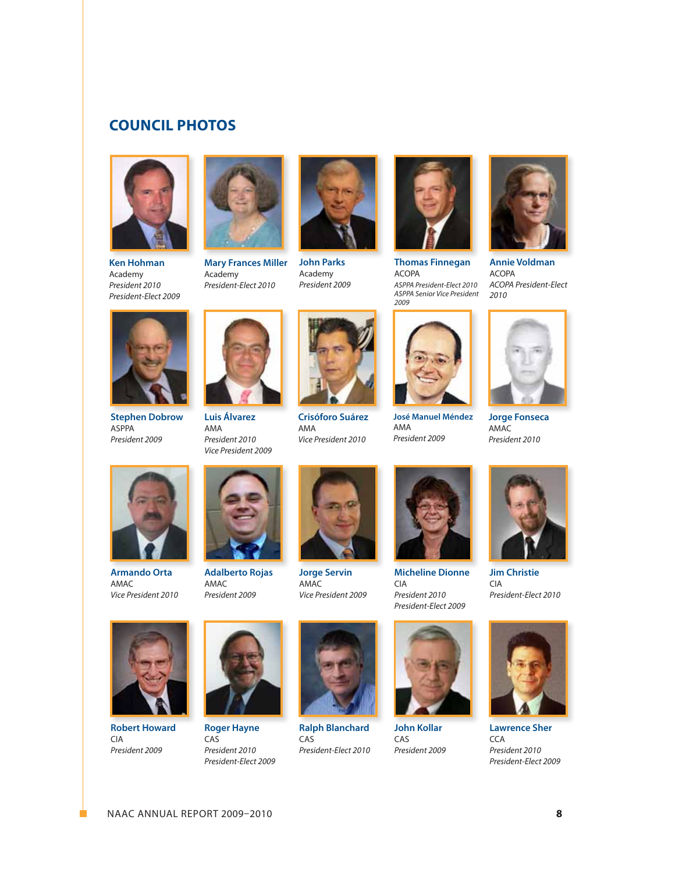# **Council Photos**



**Ken Hohman** Academy *President 2010 President-Elect 2009*



**Mary Frances Miller** Academy *President-Elect 2010*



**John Parks** Academy *President 2009*



**Thomas Finnegan** ACOPA *ASPPA President-Elect 2010 ASPPA Senior Vice President 2009*



**Annie Voldman** ACOPA *ACOPA President-Elect 2010*



**Stephen Dobrow** ASPPA *President 2009*



**Luis Álvarez** AMA *President 2010 Vice President 2009*



**Crisóforo Suárez** AMA *Vice President 2010*



**José Manuel Méndez** AMA *President 2009*



AMAC *President 2010*



**Armando Orta** AMAC *Vice President 2010*



**Adalberto Rojas** AMAC *President 2009*



**Jorge Servin** AMAC *Vice President 2009*

**Ralph Blanchard**

*President-Elect 2010*

CAS



**Micheline Dionne** CIA *President 2010 President-Elect 2009*



**John Kollar** CAS *President 2009*



**Jim Christie** CIA *President-Elect 2010*



**Lawrence Sher CCA** *President 2010 President-Elect 2009*



**Robert Howard** CIA *President 2009*



**Roger Hayne** CAS *President 2010 President-Elect 2009*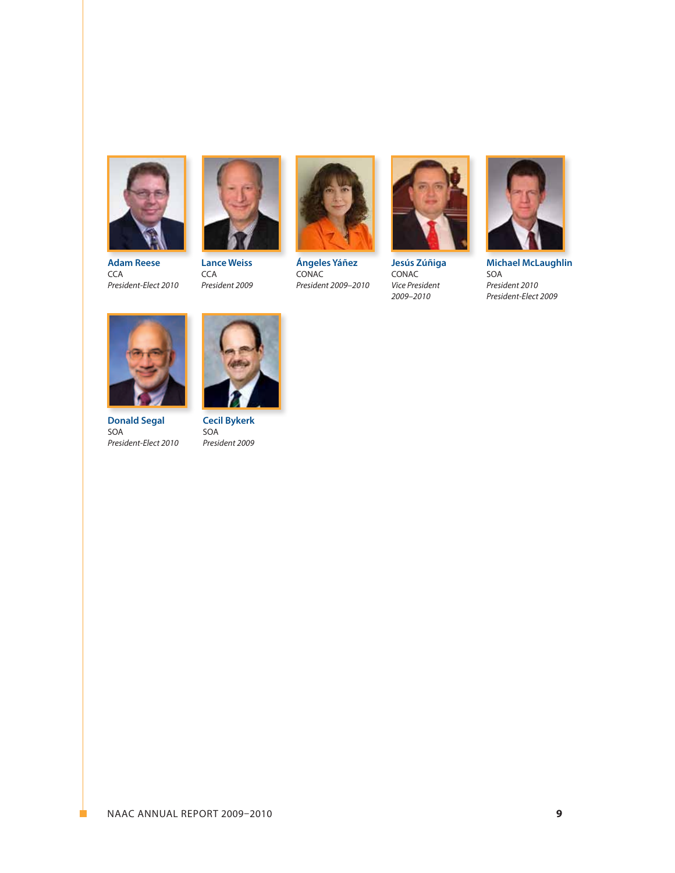

**Adam Reese CCA** *President-Elect 2010*



**Lance Weiss CCA** *President 2009*



**Ángeles Yáñez** CONAC *President 2009–2010*



**Jesús Zúñiga** CONAC *Vice President 2009–2010*



**Michael McLaughlin** SOA *President 2010 President-Elect 2009*



**Donald Segal** SOA *President-Elect 2010*



**Cecil Bykerk** SOA *President 2009*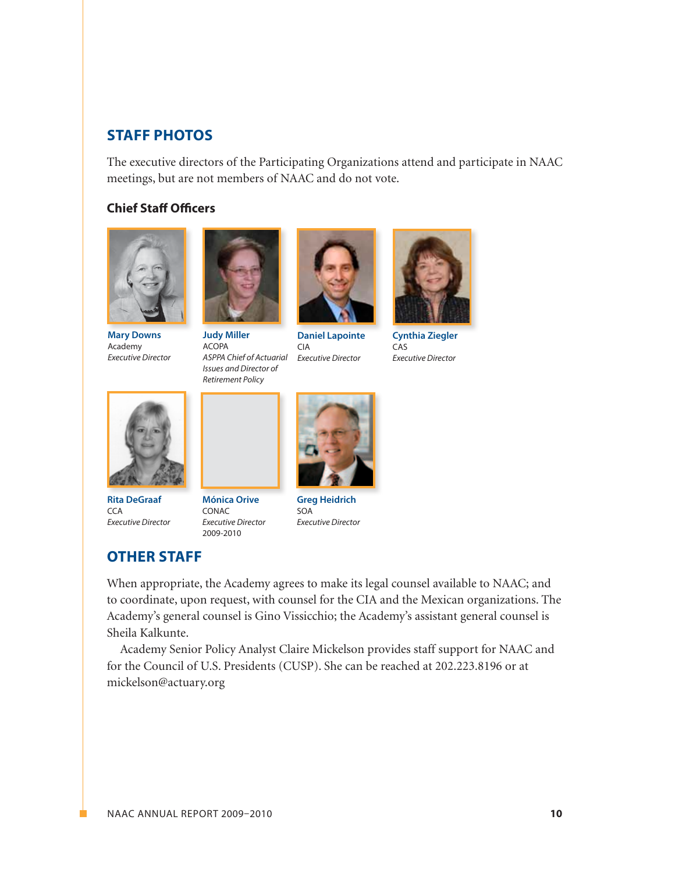# **Staff PHOTOS**

The executive directors of the Participating Organizations attend and participate in NAAC meetings, but are not members of NAAC and do not vote.

#### **Chief Staff Officers**



**Mary Downs** Academy *Executive Director*



**Judy Miller** ACOPA *ASPPA Chief of Actuarial Issues and Director of Retirement Policy*



**Daniel Lapointe** CIA *Executive Director*



**Cynthia Ziegler** CAS *Executive Director*



**Rita DeGraaf**  $CCA$ *Executive Director*

**OTHER STAFF** 

**Mónica Orive CONAC** *Executive Director* 2009-2010



**Greg Heidrich** SOA *Executive Director*

# When appropriate, the Academy agrees to make its legal counsel available to NAAC; and to coordinate, upon request, with counsel for the CIA and the Mexican organizations. The Academy's general counsel is Gino Vissicchio; the Academy's assistant general counsel is Sheila Kalkunte.

Academy Senior Policy Analyst Claire Mickelson provides staff support for NAAC and for the Council of U.S. Presidents (CUSP). She can be reached at 202.223.8196 or at mickelson@actuary.org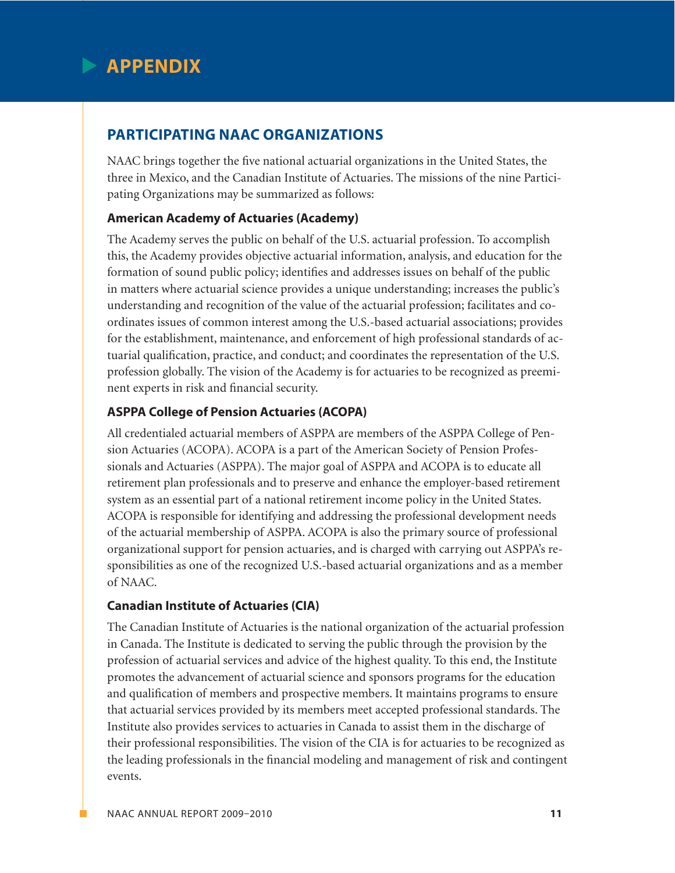

# **Participating NAAC Organizations**

NAAC brings together the five national actuarial organizations in the United States, the three in Mexico, and the Canadian Institute of Actuaries. The missions of the nine Participating Organizations may be summarized as follows:

#### **American Academy of Actuaries (Academy)**

The Academy serves the public on behalf of the U.S. actuarial profession. To accomplish this, the Academy provides objective actuarial information, analysis, and education for the formation of sound public policy; identifies and addresses issues on behalf of the public in matters where actuarial science provides a unique understanding; increases the public's understanding and recognition of the value of the actuarial profession; facilitates and coordinates issues of common interest among the U.S.-based actuarial associations; provides for the establishment, maintenance, and enforcement of high professional standards of actuarial qualification, practice, and conduct; and coordinates the representation of the U.S. profession globally. The vision of the Academy is for actuaries to be recognized as preeminent experts in risk and financial security.

#### **ASPPA College of Pension Actuaries (ACOPA)**

All credentialed actuarial members of ASPPA are members of the ASPPA College of Pension Actuaries (ACOPA). ACOPA is a part of the American Society of Pension Professionals and Actuaries (ASPPA). The major goal of ASPPA and ACOPA is to educate all retirement plan professionals and to preserve and enhance the employer-based retirement system as an essential part of a national retirement income policy in the United States. ACOPA is responsible for identifying and addressing the professional development needs of the actuarial membership of ASPPA. ACOPA is also the primary source of professional organizational support for pension actuaries, and is charged with carrying out ASPPA's responsibilities as one of the recognized U.S.-based actuarial organizations and as a member of NAAC.

#### **Canadian Institute of Actuaries (CIA)**

The Canadian Institute of Actuaries is the national organization of the actuarial profession in Canada. The Institute is dedicated to serving the public through the provision by the profession of actuarial services and advice of the highest quality. To this end, the Institute promotes the advancement of actuarial science and sponsors programs for the education and qualification of members and prospective members. It maintains programs to ensure that actuarial services provided by its members meet accepted professional standards. The Institute also provides services to actuaries in Canada to assist them in the discharge of their professional responsibilities. The vision of the CIA is for actuaries to be recognized as the leading professionals in the financial modeling and management of risk and contingent events.